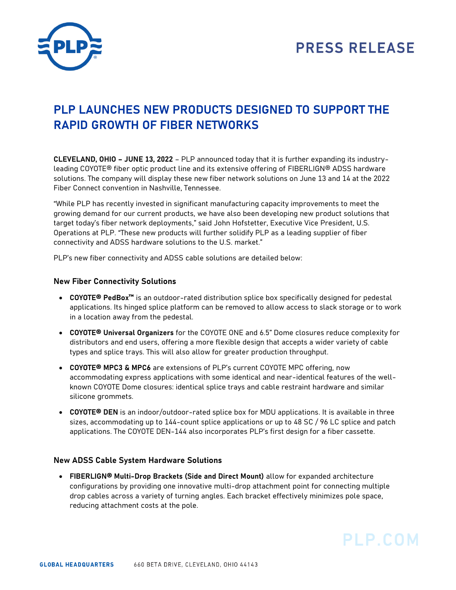

# **PLP LAUNCHES NEW PRODUCTS DESIGNED TO SUPPORT THE RAPID GROWTH OF FIBER NETWORKS**

**CLEVELAND, OHIO – JUNE 13, 2022** – PLP announced today that it is further expanding its industryleading COYOTE® fiber optic product line and its extensive offering of FIBERLIGN® ADSS hardware solutions. The company will display these new fiber network solutions on June 13 and 14 at the 2022 Fiber Connect convention in Nashville, Tennessee.

"While PLP has recently invested in significant manufacturing capacity improvements to meet the growing demand for our current products, we have also been developing new product solutions that target today's fiber network deployments," said John Hofstetter, Executive Vice President, U.S. Operations at PLP. "These new products will further solidify PLP as a leading supplier of fiber connectivity and ADSS hardware solutions to the U.S. market."

PLP's new fiber connectivity and ADSS cable solutions are detailed below:

## **New Fiber Connectivity Solutions**

- **COYOTE® PedBox™** is an outdoor-rated distribution splice box specifically designed for pedestal applications. Its hinged splice platform can be removed to allow access to slack storage or to work in a location away from the pedestal.
- **COYOTE® Universal Organizers** for the COYOTE ONE and 6.5" Dome closures reduce complexity for distributors and end users, offering a more flexible design that accepts a wider variety of cable types and splice trays. This will also allow for greater production throughput.
- **COYOTE® MPC3 & MPC6** are extensions of PLP's current COYOTE MPC offering, now accommodating express applications with some identical and near-identical features of the wellknown COYOTE Dome closures: identical splice trays and cable restraint hardware and similar silicone grommets.
- **COYOTE® DEN** is an indoor/outdoor-rated splice box for MDU applications. It is available in three sizes, accommodating up to 144-count splice applications or up to 48 SC / 96 LC splice and patch applications. The COYOTE DEN-144 also incorporates PLP's first design for a fiber cassette.

## **New ADSS Cable System Hardware Solutions**

• **FIBERLIGN® Multi-Drop Brackets (Side and Direct Mount)** allow for expanded architecture configurations by providing one innovative multi-drop attachment point for connecting multiple drop cables across a variety of turning angles. Each bracket effectively minimizes pole space, reducing attachment costs at the pole.